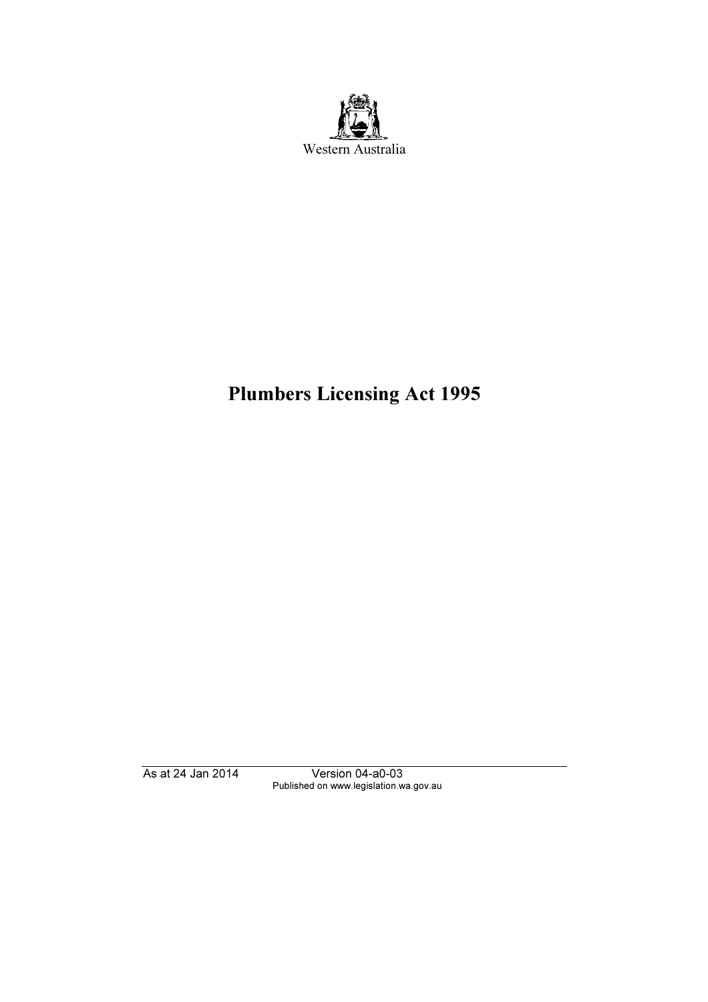

# Plumbers Licensing Act 1995

As at 24 Jan 2014 Version 04-a0-03 Published on www.legislation.wa.gov.au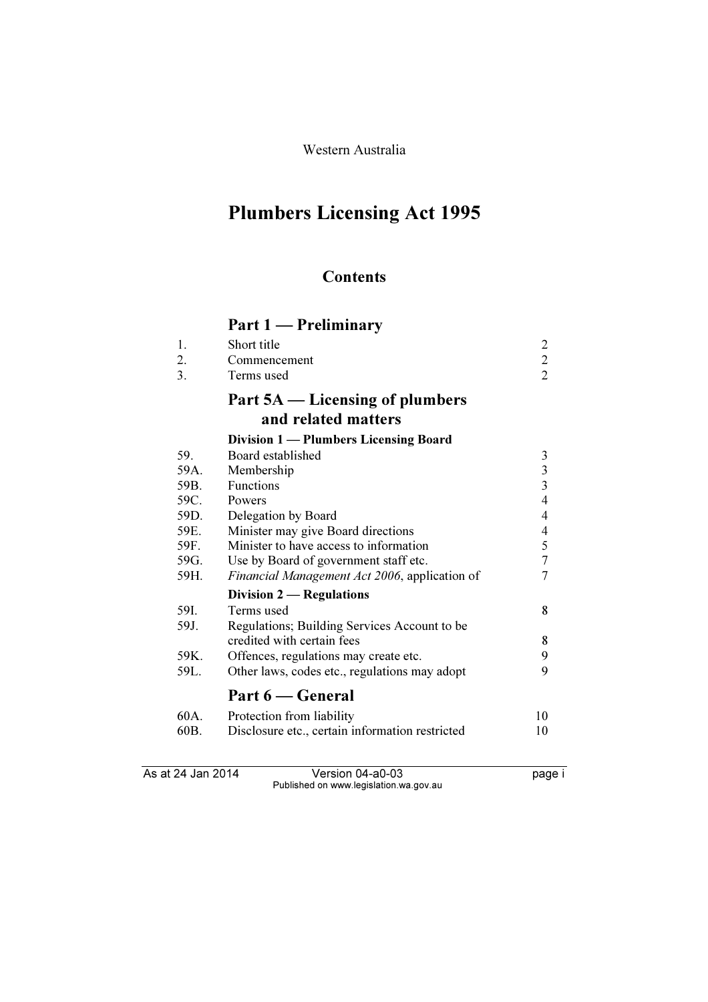Western Australia

# Plumbers Licensing Act 1995

# **Contents**

# Part 1 — Preliminary

| 1.<br>2. | Short title<br>Commencement                     | $\overline{2}$ |
|----------|-------------------------------------------------|----------------|
| 3.       | Terms used                                      | $\overline{2}$ |
|          | Part 5A — Licensing of plumbers                 |                |
|          | and related matters                             |                |
|          | Division 1 — Plumbers Licensing Board           |                |
| 59.      | Board established                               | 3              |
| 59A.     | Membership                                      | $\overline{3}$ |
| 59B.     | <b>Functions</b>                                | 3              |
| 59C.     | Powers                                          | $\overline{4}$ |
| 59D.     | Delegation by Board                             | $\overline{4}$ |
| 59E.     | Minister may give Board directions              | 4              |
| 59F.     | Minister to have access to information          | 5              |
| 59G.     | Use by Board of government staff etc.           | $\overline{7}$ |
| 59H.     | Financial Management Act 2006, application of   | 7              |
|          | Division 2 — Regulations                        |                |
| 59I.     | Terms used                                      | 8              |
| 59J.     | Regulations; Building Services Account to be    |                |
|          | credited with certain fees                      | 8              |
| 59K.     | Offences, regulations may create etc.           | 9              |
| 59L.     | Other laws, codes etc., regulations may adopt   | 9              |
|          | Part 6 — General                                |                |
| 60A.     | Protection from liability                       | 10             |
| 60B.     | Disclosure etc., certain information restricted | 10             |

As at 24 Jan 2014 Version 04-a0-03 page i Published on www.legislation.wa.gov.au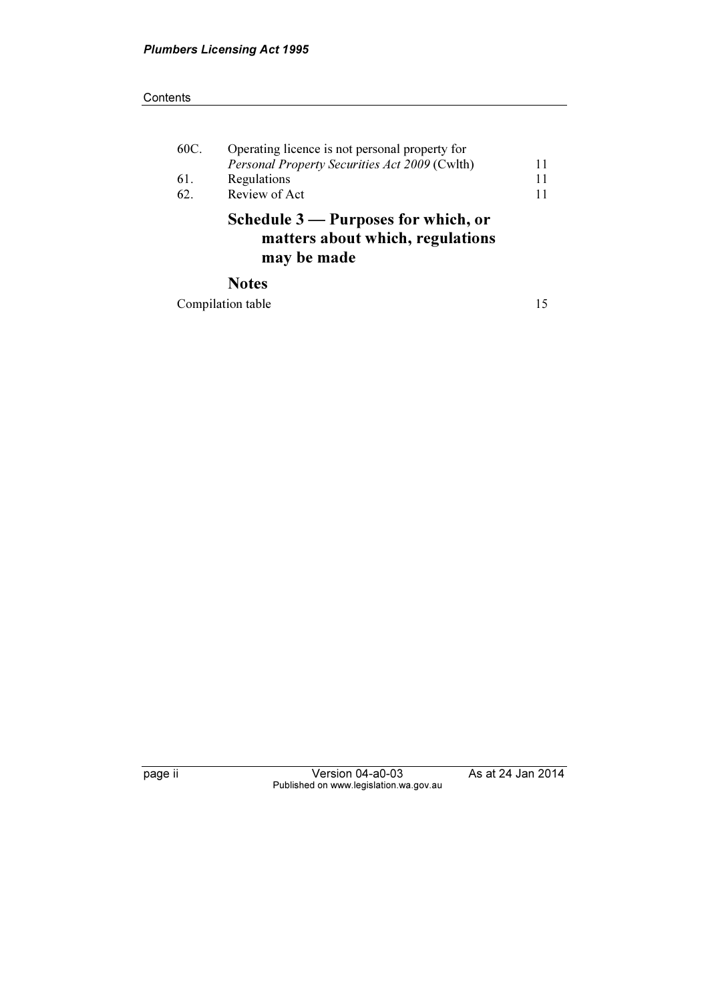#### **Contents**

| 60C. | Operating licence is not personal property for<br>Personal Property Securities Act 2009 (Cwlth) | 11 |
|------|-------------------------------------------------------------------------------------------------|----|
| 61.  | Regulations                                                                                     | 11 |
| 62.  | Review of Act                                                                                   | 11 |
|      | Schedule 3 — Purposes for which, or<br>matters about which, regulations<br>may be made          |    |
|      | <b>Notes</b>                                                                                    |    |

Compilation table 15

page ii Version 04-a0-03 As at 24 Jan 2014 Published on www.legislation.wa.gov.au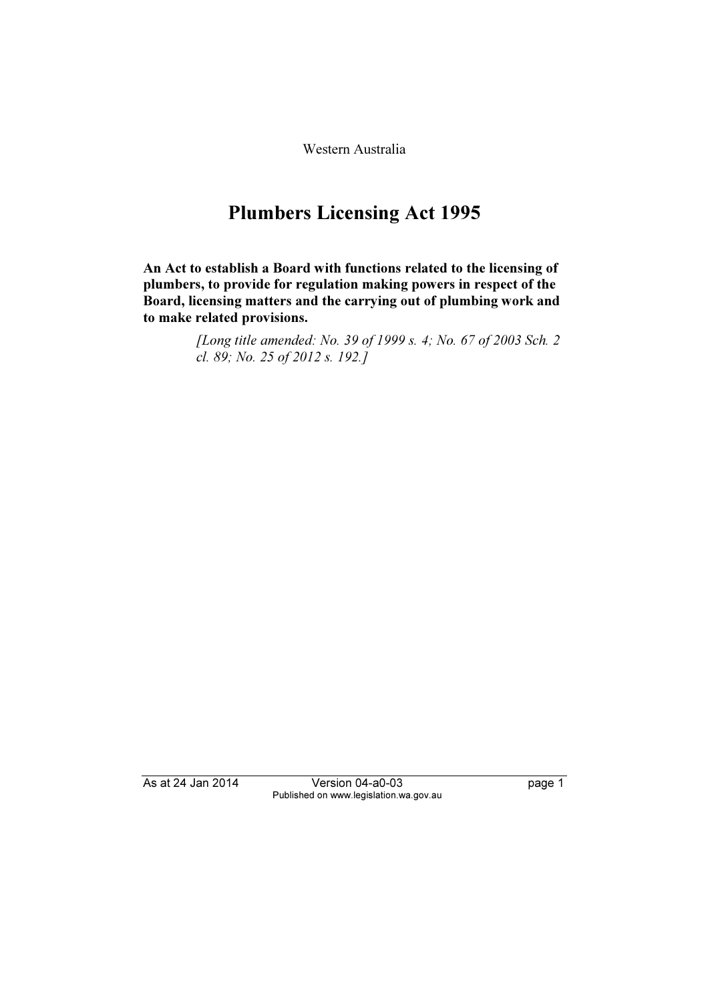Western Australia

# Plumbers Licensing Act 1995

An Act to establish a Board with functions related to the licensing of plumbers, to provide for regulation making powers in respect of the Board, licensing matters and the carrying out of plumbing work and to make related provisions.

> [Long title amended: No. 39 of 1999 s. 4; No. 67 of 2003 Sch. 2 cl. 89; No. 25 of 2012 s. 192.]

As at 24 Jan 2014 Version 04-a0-03 page 1 Published on www.legislation.wa.gov.au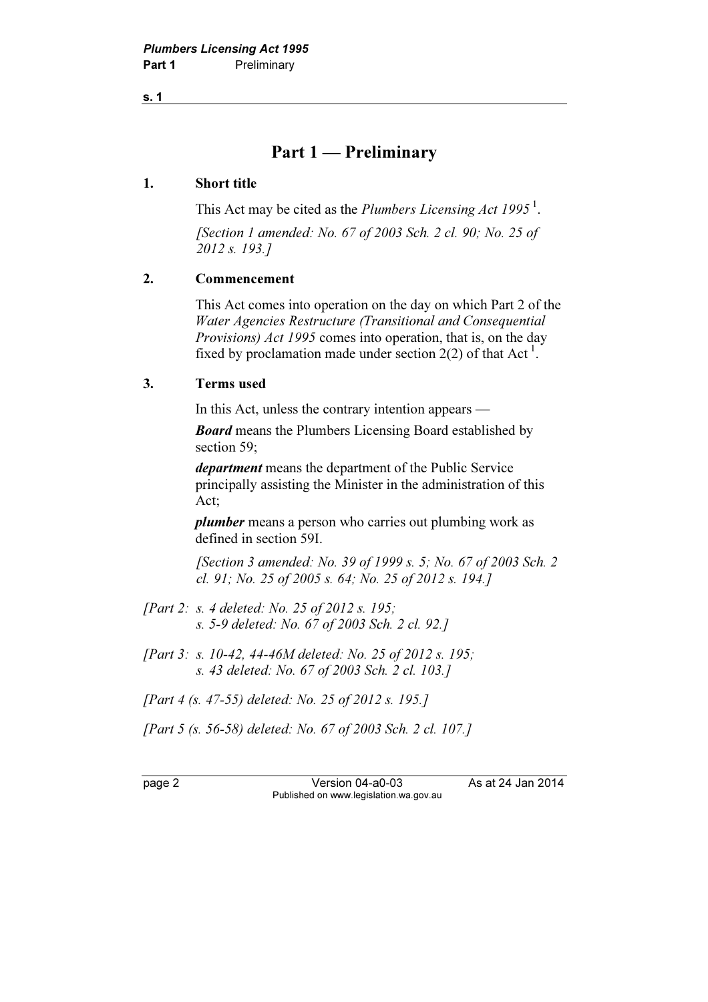s. 1

# Part 1 — Preliminary

## 1. Short title

This Act may be cited as the *Plumbers Licensing Act* 1995<sup>1</sup>.

 [Section 1 amended: No. 67 of 2003 Sch. 2 cl. 90; No. 25 of 2012 s. 193.]

# 2. Commencement

 This Act comes into operation on the day on which Part 2 of the Water Agencies Restructure (Transitional and Consequential Provisions) Act 1995 comes into operation, that is, on the day fixed by proclamation made under section  $2(2)$  of that Act<sup>1</sup>.

## 3. Terms used

In this Act, unless the contrary intention appears —

**Board** means the Plumbers Licensing Board established by section 59;

department means the department of the Public Service principally assisting the Minister in the administration of this Act;

plumber means a person who carries out plumbing work as defined in section 59I.

 [Section 3 amended: No. 39 of 1999 s. 5; No. 67 of 2003 Sch. 2 cl. 91; No. 25 of 2005 s. 64; No. 25 of 2012 s. 194.]

- [Part 2: s. 4 deleted: No. 25 of 2012 s. 195; s. 5-9 deleted: No. 67 of 2003 Sch. 2 cl. 92.]
- [Part 3: s. 10-42, 44-46M deleted: No. 25 of 2012 s. 195; s. 43 deleted: No. 67 of 2003 Sch. 2 cl. 103.]

[Part 4 (s. 47-55) deleted: No. 25 of 2012 s. 195.]

[Part 5 (s. 56-58) deleted: No. 67 of 2003 Sch. 2 cl. 107.]

page 2 Version 04-a0-03 As at 24 Jan 2014 Published on www.legislation.wa.gov.au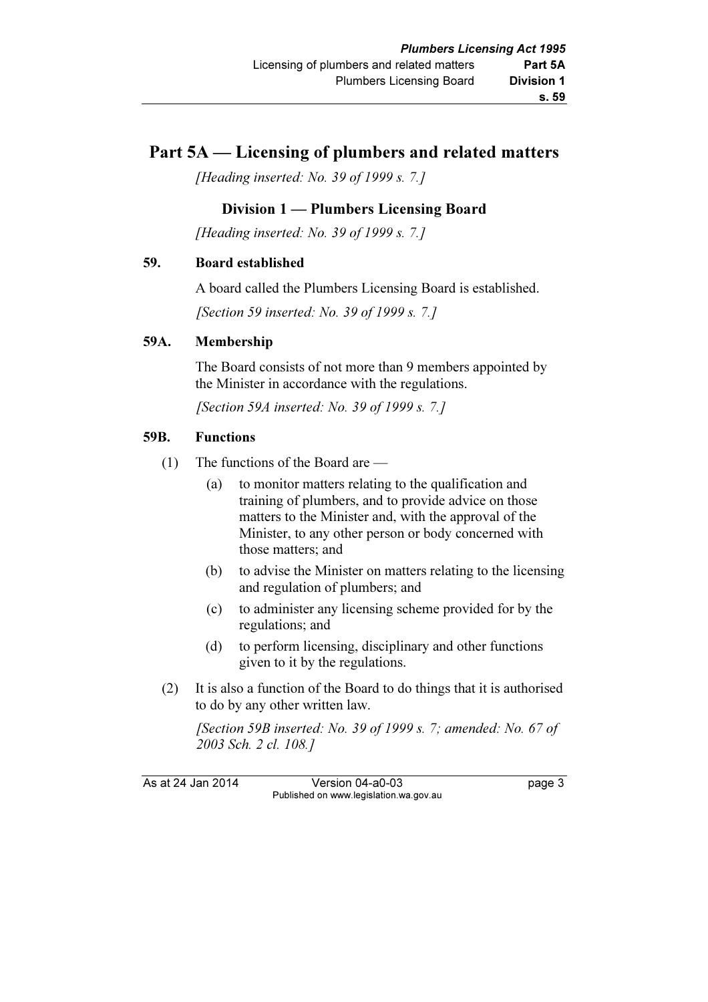# Part 5A — Licensing of plumbers and related matters

[Heading inserted: No. 39 of 1999 s. 7.]

# Division 1 — Plumbers Licensing Board

[Heading inserted: No. 39 of 1999 s. 7.]

## 59. Board established

A board called the Plumbers Licensing Board is established.

[Section 59 inserted: No. 39 of 1999 s. 7.]

## 59A. Membership

 The Board consists of not more than 9 members appointed by the Minister in accordance with the regulations.

[Section 59A inserted: No. 39 of 1999 s. 7.]

## 59B. Functions

- (1) The functions of the Board are
	- (a) to monitor matters relating to the qualification and training of plumbers, and to provide advice on those matters to the Minister and, with the approval of the Minister, to any other person or body concerned with those matters; and
	- (b) to advise the Minister on matters relating to the licensing and regulation of plumbers; and
	- (c) to administer any licensing scheme provided for by the regulations; and
	- (d) to perform licensing, disciplinary and other functions given to it by the regulations.
- (2) It is also a function of the Board to do things that it is authorised to do by any other written law.

[Section 59B inserted: No. 39 of 1999 s. 7; amended: No. 67 of 2003 Sch. 2 cl. 108.]

As at 24 Jan 2014 Version 04-a0-03 Page 3 Published on www.legislation.wa.gov.au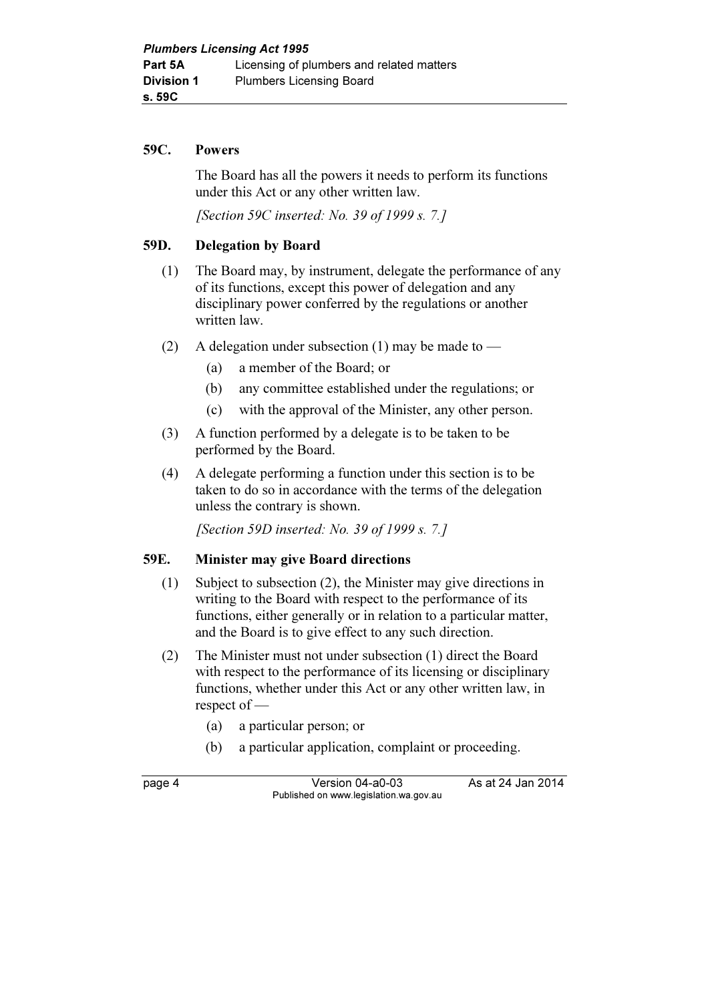#### 59C. Powers

 The Board has all the powers it needs to perform its functions under this Act or any other written law.

[Section 59C inserted: No. 39 of 1999 s. 7.]

#### 59D. Delegation by Board

- (1) The Board may, by instrument, delegate the performance of any of its functions, except this power of delegation and any disciplinary power conferred by the regulations or another written law.
- (2) A delegation under subsection (1) may be made to
	- (a) a member of the Board; or
	- (b) any committee established under the regulations; or
	- (c) with the approval of the Minister, any other person.
- (3) A function performed by a delegate is to be taken to be performed by the Board.
- (4) A delegate performing a function under this section is to be taken to do so in accordance with the terms of the delegation unless the contrary is shown.

[Section 59D inserted: No. 39 of 1999 s. 7.]

#### 59E. Minister may give Board directions

- (1) Subject to subsection (2), the Minister may give directions in writing to the Board with respect to the performance of its functions, either generally or in relation to a particular matter, and the Board is to give effect to any such direction.
- (2) The Minister must not under subsection (1) direct the Board with respect to the performance of its licensing or disciplinary functions, whether under this Act or any other written law, in respect of —
	- (a) a particular person; or
	- (b) a particular application, complaint or proceeding.

page 4 Version 04-a0-03 As at 24 Jan 2014 Published on www.legislation.wa.gov.au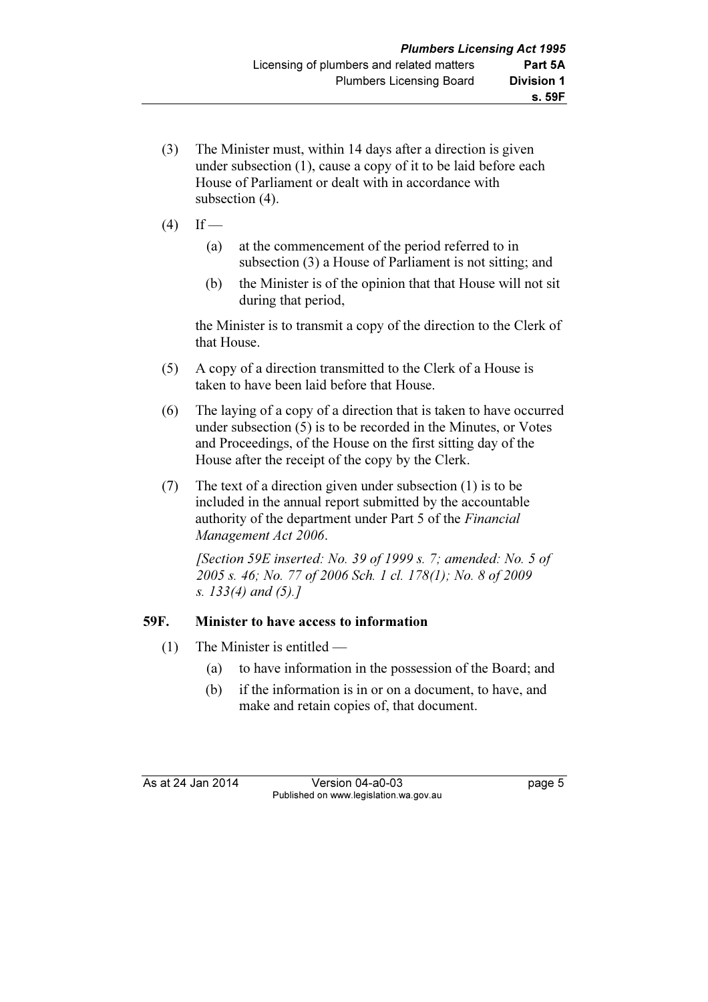- (3) The Minister must, within 14 days after a direction is given under subsection (1), cause a copy of it to be laid before each House of Parliament or dealt with in accordance with subsection (4).
- $(4)$  If
	- (a) at the commencement of the period referred to in subsection (3) a House of Parliament is not sitting; and
	- (b) the Minister is of the opinion that that House will not sit during that period,

 the Minister is to transmit a copy of the direction to the Clerk of that House.

- (5) A copy of a direction transmitted to the Clerk of a House is taken to have been laid before that House.
- (6) The laying of a copy of a direction that is taken to have occurred under subsection (5) is to be recorded in the Minutes, or Votes and Proceedings, of the House on the first sitting day of the House after the receipt of the copy by the Clerk.
- (7) The text of a direction given under subsection (1) is to be included in the annual report submitted by the accountable authority of the department under Part 5 of the Financial Management Act 2006.

[Section 59E inserted: No. 39 of 1999 s. 7; amended: No. 5 of 2005 s. 46; No. 77 of 2006 Sch. 1 cl. 178(1); No. 8 of 2009 s. 133(4) and (5).]

# 59F. Minister to have access to information

- (1) The Minister is entitled
	- (a) to have information in the possession of the Board; and
	- (b) if the information is in or on a document, to have, and make and retain copies of, that document.

As at 24 Jan 2014 Version 04-a0-03 Page 5 Published on www.legislation.wa.gov.au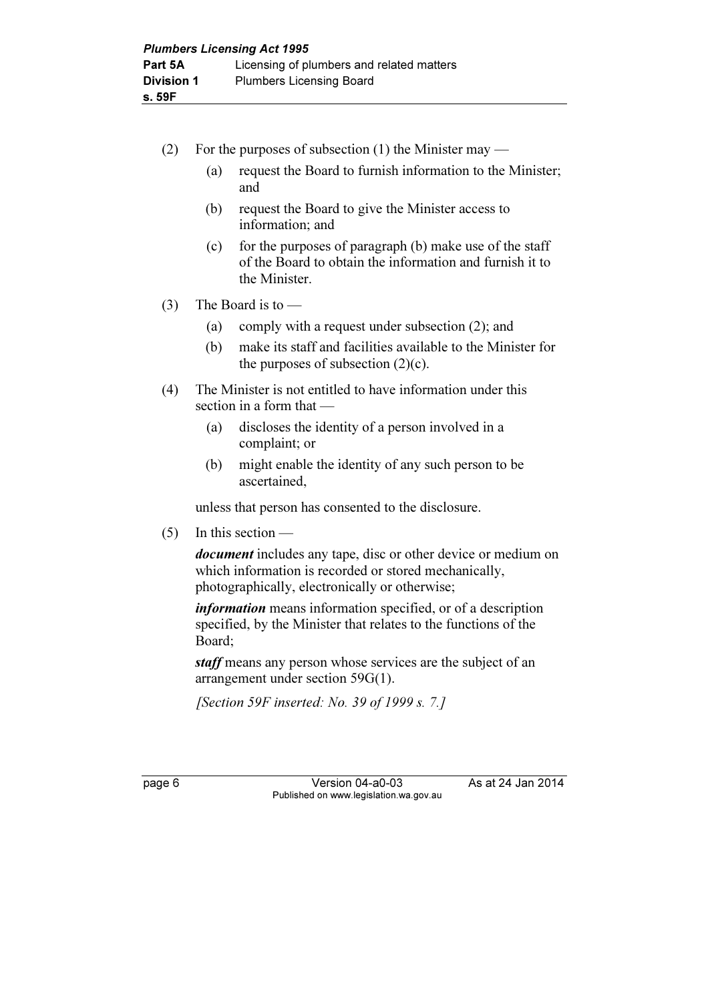- (2) For the purposes of subsection (1) the Minister may
	- (a) request the Board to furnish information to the Minister; and
	- (b) request the Board to give the Minister access to information; and
	- (c) for the purposes of paragraph  $(b)$  make use of the staff of the Board to obtain the information and furnish it to the Minister.
- (3) The Board is to  $-$ 
	- (a) comply with a request under subsection (2); and
	- (b) make its staff and facilities available to the Minister for the purposes of subsection  $(2)(c)$ .
- (4) The Minister is not entitled to have information under this section in a form that —
	- (a) discloses the identity of a person involved in a complaint; or
	- (b) might enable the identity of any such person to be ascertained,

unless that person has consented to the disclosure.

 $(5)$  In this section —

document includes any tape, disc or other device or medium on which information is recorded or stored mechanically, photographically, electronically or otherwise;

information means information specified, or of a description specified, by the Minister that relates to the functions of the Board;

staff means any person whose services are the subject of an arrangement under section 59G(1).

[Section 59F inserted: No. 39 of 1999 s. 7.]

|--|--|

Version 04-a0-03 As at 24 Jan 2014 Published on www.legislation.wa.gov.au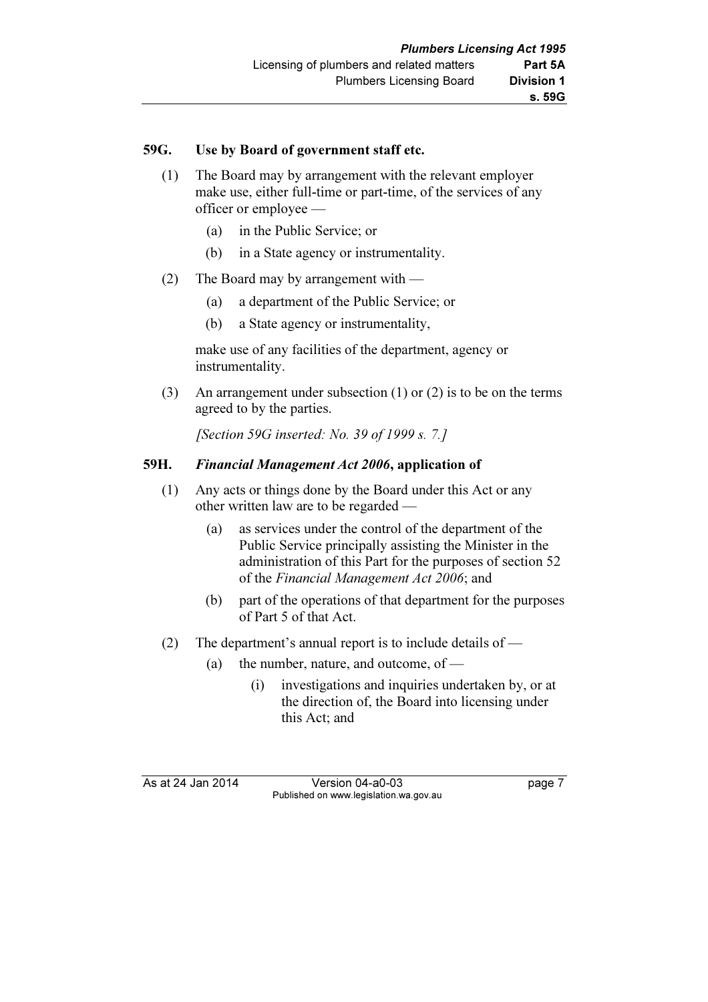## 59G. Use by Board of government staff etc.

- (1) The Board may by arrangement with the relevant employer make use, either full-time or part-time, of the services of any officer or employee —
	- (a) in the Public Service; or
	- (b) in a State agency or instrumentality.
- (2) The Board may by arrangement with
	- (a) a department of the Public Service; or
	- (b) a State agency or instrumentality,

 make use of any facilities of the department, agency or instrumentality.

 (3) An arrangement under subsection (1) or (2) is to be on the terms agreed to by the parties.

[Section 59G inserted: No. 39 of 1999 s. 7.]

## 59H. Financial Management Act 2006, application of

- (1) Any acts or things done by the Board under this Act or any other written law are to be regarded —
	- (a) as services under the control of the department of the Public Service principally assisting the Minister in the administration of this Part for the purposes of section 52 of the Financial Management Act 2006; and
	- (b) part of the operations of that department for the purposes of Part 5 of that Act.
- (2) The department's annual report is to include details of
	- (a) the number, nature, and outcome, of  $-$ 
		- (i) investigations and inquiries undertaken by, or at the direction of, the Board into licensing under this Act; and

As at 24 Jan 2014 Version 04-a0-03 page 7 Published on www.legislation.wa.gov.au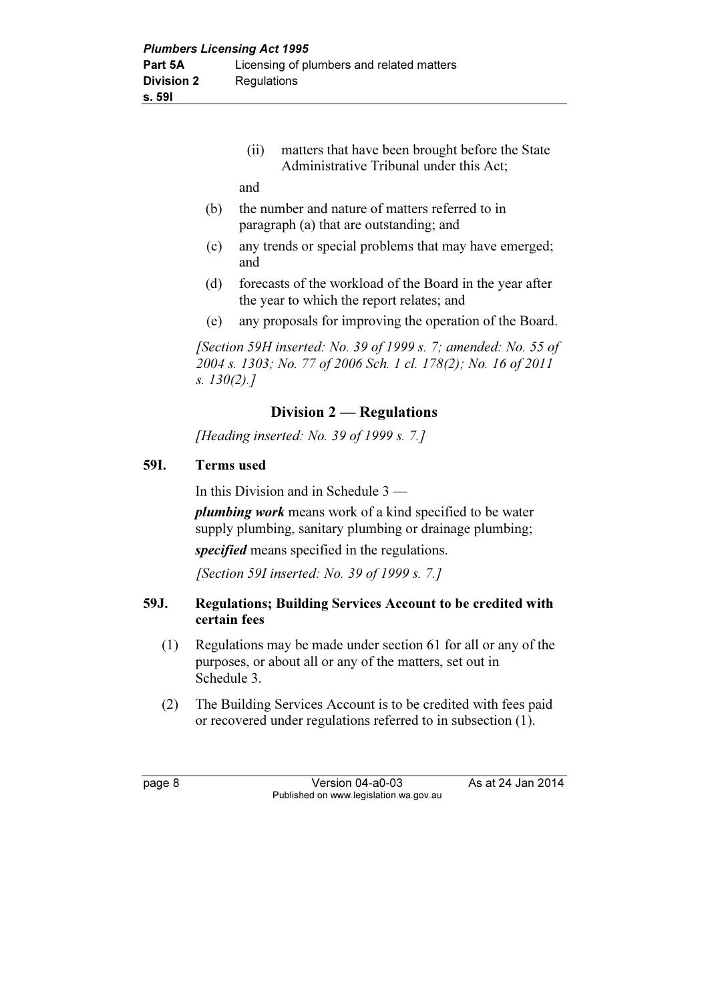(ii) matters that have been brought before the State Administrative Tribunal under this Act;

and

- (b) the number and nature of matters referred to in paragraph (a) that are outstanding; and
- (c) any trends or special problems that may have emerged; and
- (d) forecasts of the workload of the Board in the year after the year to which the report relates; and
- (e) any proposals for improving the operation of the Board.

[Section 59H inserted: No. 39 of 1999 s. 7: amended: No. 55 of 2004 s. 1303; No. 77 of 2006 Sch. 1 cl. 178(2); No. 16 of 2011 s. 130(2).]

# Division 2 — Regulations

[Heading inserted: No. 39 of 1999 s. 7.]

## 59I. Terms used

In this Division and in Schedule 3 —

plumbing work means work of a kind specified to be water supply plumbing, sanitary plumbing or drainage plumbing;

specified means specified in the regulations.

[Section 59I inserted: No. 39 of 1999 s. 7.]

# 59J. Regulations; Building Services Account to be credited with certain fees

- (1) Regulations may be made under section 61 for all or any of the purposes, or about all or any of the matters, set out in Schedule 3.
- (2) The Building Services Account is to be credited with fees paid or recovered under regulations referred to in subsection (1).

page 8 Version 04-a0-03 As at 24 Jan 2014 Published on www.legislation.wa.gov.au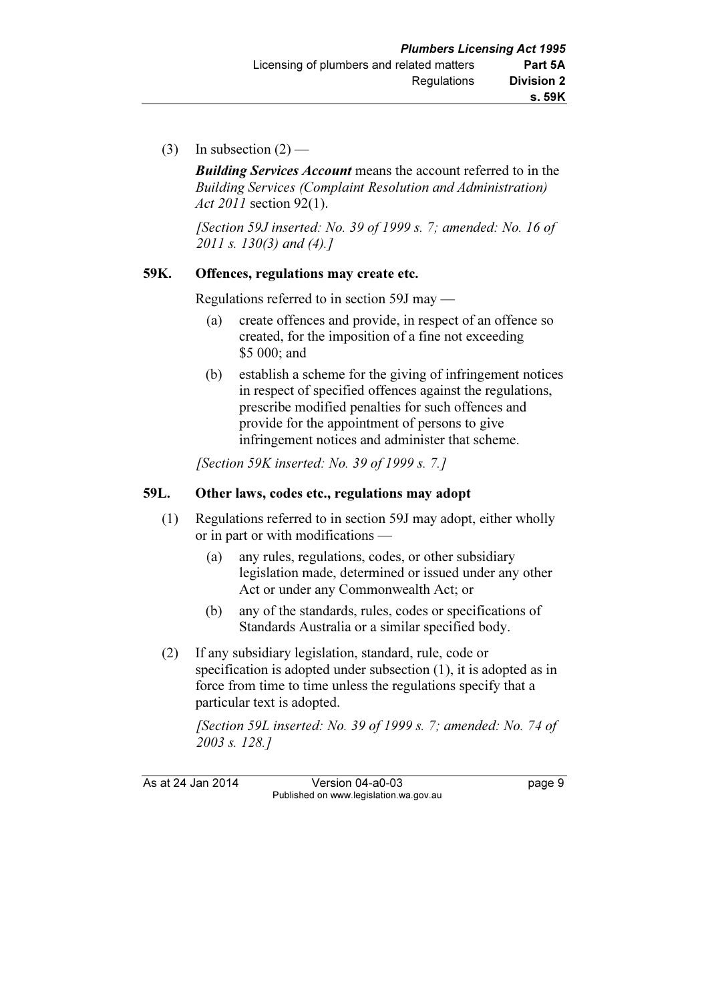(3) In subsection  $(2)$  —

**Building Services Account** means the account referred to in the Building Services (Complaint Resolution and Administration) Act 2011 section 92(1).

[Section 59J inserted: No. 39 of 1999 s. 7; amended: No. 16 of 2011 s. 130(3) and (4).]

# 59K. Offences, regulations may create etc.

Regulations referred to in section 59J may —

- (a) create offences and provide, in respect of an offence so created, for the imposition of a fine not exceeding \$5 000; and
- (b) establish a scheme for the giving of infringement notices in respect of specified offences against the regulations, prescribe modified penalties for such offences and provide for the appointment of persons to give infringement notices and administer that scheme.

[Section 59K inserted: No. 39 of 1999 s. 7.]

# 59L. Other laws, codes etc., regulations may adopt

- (1) Regulations referred to in section 59J may adopt, either wholly or in part or with modifications —
	- (a) any rules, regulations, codes, or other subsidiary legislation made, determined or issued under any other Act or under any Commonwealth Act; or
	- (b) any of the standards, rules, codes or specifications of Standards Australia or a similar specified body.
- (2) If any subsidiary legislation, standard, rule, code or specification is adopted under subsection (1), it is adopted as in force from time to time unless the regulations specify that a particular text is adopted.

[Section 59L inserted: No. 39 of 1999 s. 7; amended: No. 74 of 2003 s. 128.]

As at 24 Jan 2014 Version 04-a0-03 Page 9 Published on www.legislation.wa.gov.au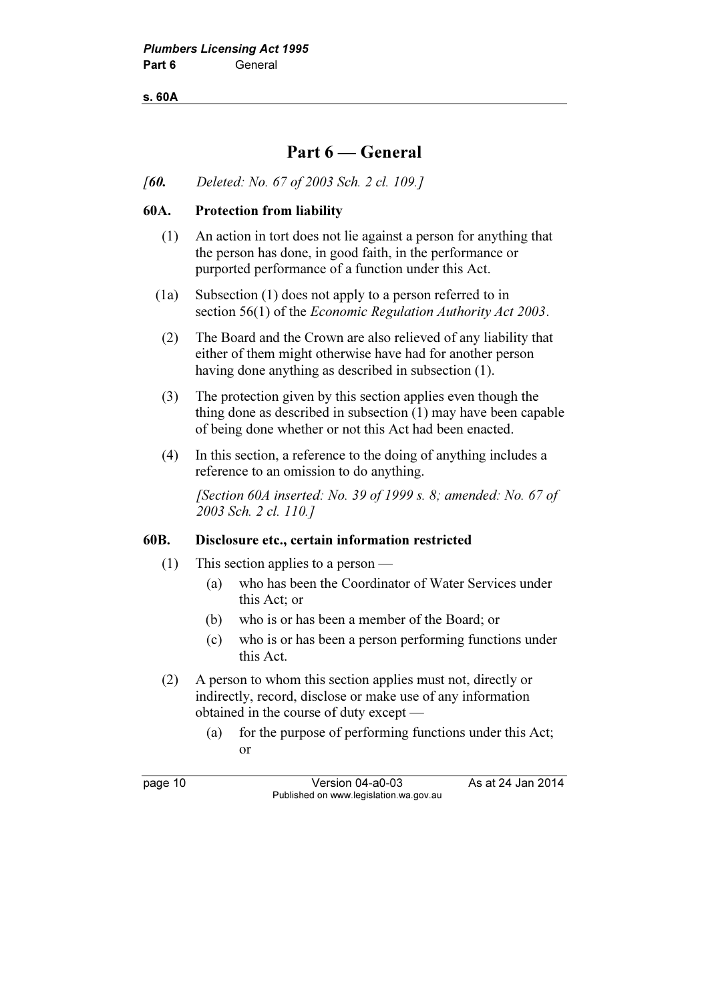s. 60A

# Part 6 — General

[60. Deleted: No. 67 of 2003 Sch. 2 cl. 109.]

#### 60A. Protection from liability

- (1) An action in tort does not lie against a person for anything that the person has done, in good faith, in the performance or purported performance of a function under this Act.
- (1a) Subsection (1) does not apply to a person referred to in section 56(1) of the *Economic Regulation Authority Act 2003*.
	- (2) The Board and the Crown are also relieved of any liability that either of them might otherwise have had for another person having done anything as described in subsection (1).
- (3) The protection given by this section applies even though the thing done as described in subsection (1) may have been capable of being done whether or not this Act had been enacted.
- (4) In this section, a reference to the doing of anything includes a reference to an omission to do anything.

[Section 60A inserted: No. 39 of 1999 s. 8; amended: No. 67 of 2003 Sch. 2 cl. 110.]

#### 60B. Disclosure etc., certain information restricted

- (1) This section applies to a person
	- (a) who has been the Coordinator of Water Services under this Act; or
	- (b) who is or has been a member of the Board; or
	- (c) who is or has been a person performing functions under this Act.
- (2) A person to whom this section applies must not, directly or indirectly, record, disclose or make use of any information obtained in the course of duty except —
	- (a) for the purpose of performing functions under this Act; or

page 10 Version 04-a0-03 As at 24 Jan 2014 Published on www.legislation.wa.gov.au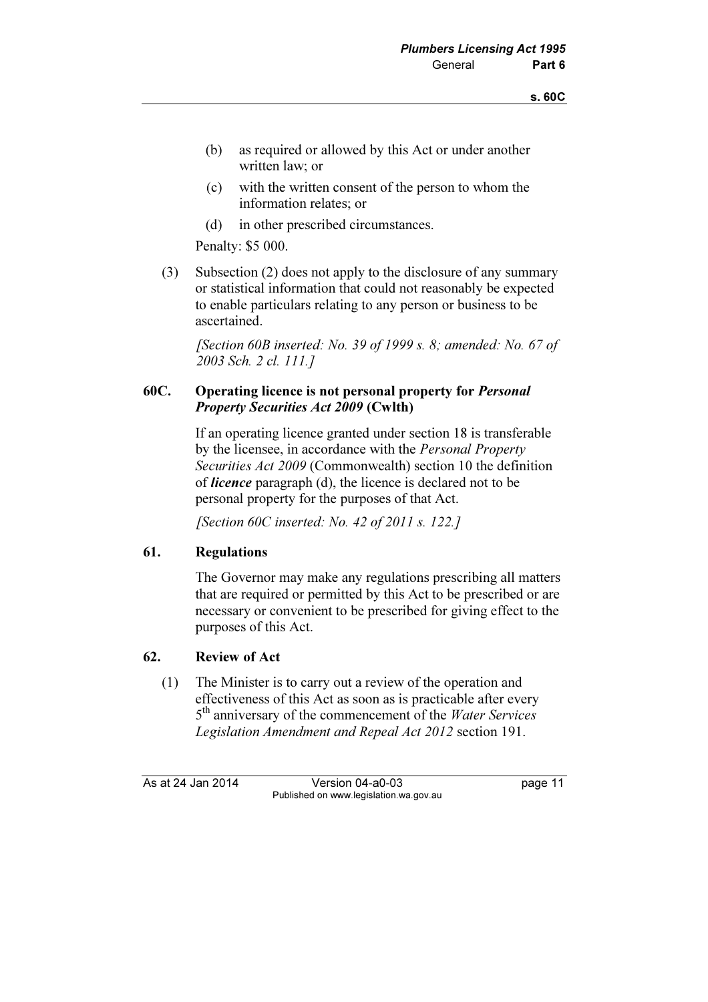- (b) as required or allowed by this Act or under another written law; or
- (c) with the written consent of the person to whom the information relates; or
- (d) in other prescribed circumstances.

Penalty: \$5 000.

 (3) Subsection (2) does not apply to the disclosure of any summary or statistical information that could not reasonably be expected to enable particulars relating to any person or business to be ascertained.

[Section 60B inserted: No. 39 of 1999 s. 8; amended: No. 67 of 2003 Sch. 2 cl. 111.]

## 60C. Operating licence is not personal property for Personal Property Securities Act 2009 (Cwlth)

 If an operating licence granted under section 18 is transferable by the licensee, in accordance with the Personal Property Securities Act 2009 (Commonwealth) section 10 the definition of licence paragraph (d), the licence is declared not to be personal property for the purposes of that Act.

[Section 60C inserted: No. 42 of 2011 s. 122.]

# 61. Regulations

 The Governor may make any regulations prescribing all matters that are required or permitted by this Act to be prescribed or are necessary or convenient to be prescribed for giving effect to the purposes of this Act.

# 62. Review of Act

 (1) The Minister is to carry out a review of the operation and effectiveness of this Act as soon as is practicable after every 5<sup>th</sup> anniversary of the commencement of the *Water Services* Legislation Amendment and Repeal Act 2012 section 191.

As at 24 Jan 2014 Version 04-a0-03 page 11 Published on www.legislation.wa.gov.au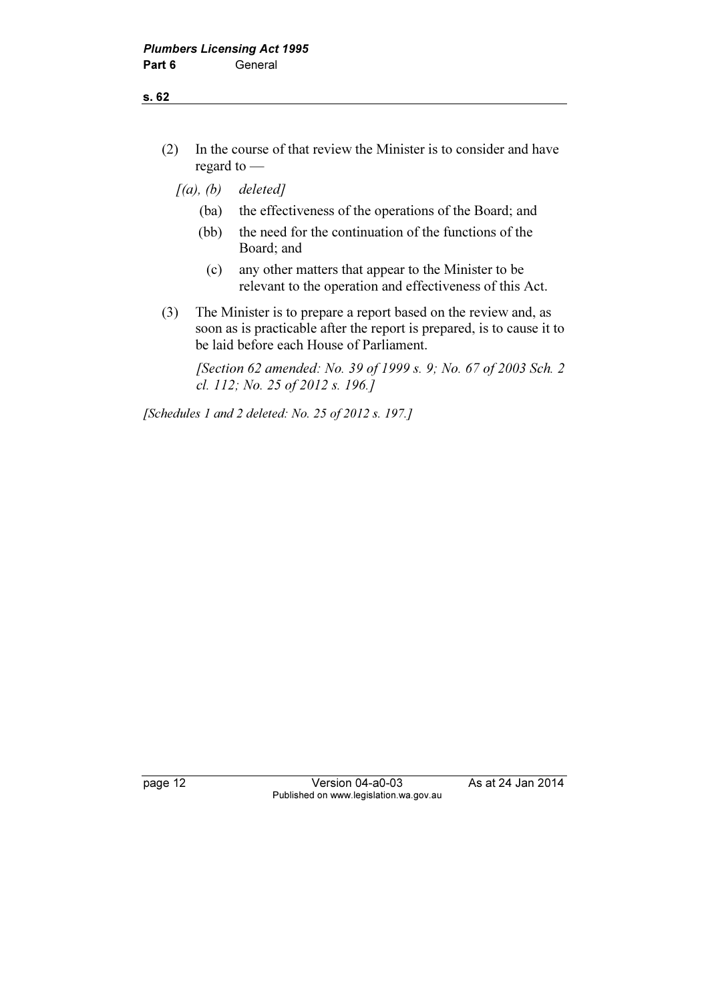- (2) In the course of that review the Minister is to consider and have regard to —
	- $[(a), (b)$  deleted]
		- (ba) the effectiveness of the operations of the Board; and
		- (bb) the need for the continuation of the functions of the Board; and
			- (c) any other matters that appear to the Minister to be relevant to the operation and effectiveness of this Act.
- (3) The Minister is to prepare a report based on the review and, as soon as is practicable after the report is prepared, is to cause it to be laid before each House of Parliament.

 [Section 62 amended: No. 39 of 1999 s. 9; No. 67 of 2003 Sch. 2 cl. 112; No. 25 of 2012 s. 196.]

[Schedules 1 and 2 deleted: No. 25 of 2012 s. 197.]

page 12 **Version 04-a0-03** As at 24 Jan 2014 Published on www.legislation.wa.gov.au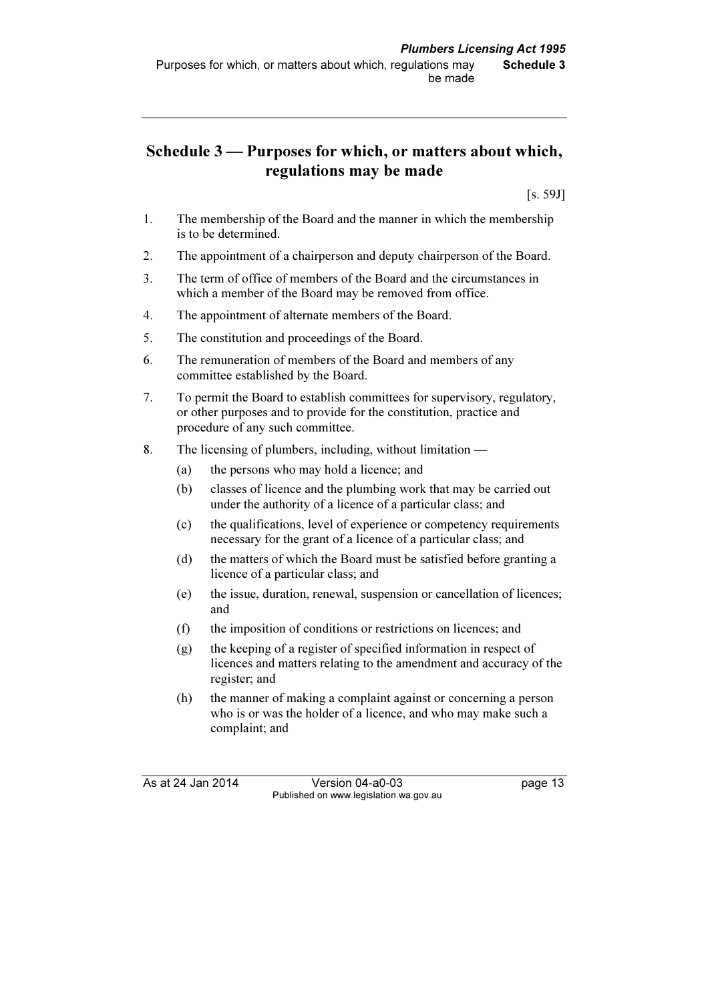# Schedule 3 — Purposes for which, or matters about which, regulations may be made

[s. 59J]

- 1. The membership of the Board and the manner in which the membership is to be determined.
- 2. The appointment of a chairperson and deputy chairperson of the Board.
- 3. The term of office of members of the Board and the circumstances in which a member of the Board may be removed from office.
- 4. The appointment of alternate members of the Board.
- 5. The constitution and proceedings of the Board.
- 6. The remuneration of members of the Board and members of any committee established by the Board.
- 7. To permit the Board to establish committees for supervisory, regulatory, or other purposes and to provide for the constitution, practice and procedure of any such committee.
- 8. The licensing of plumbers, including, without limitation
	- (a) the persons who may hold a licence; and
	- (b) classes of licence and the plumbing work that may be carried out under the authority of a licence of a particular class; and
	- (c) the qualifications, level of experience or competency requirements necessary for the grant of a licence of a particular class; and
	- (d) the matters of which the Board must be satisfied before granting a licence of a particular class; and
	- (e) the issue, duration, renewal, suspension or cancellation of licences; and
	- (f) the imposition of conditions or restrictions on licences; and
	- (g) the keeping of a register of specified information in respect of licences and matters relating to the amendment and accuracy of the register; and
	- (h) the manner of making a complaint against or concerning a person who is or was the holder of a licence, and who may make such a complaint; and

As at 24 Jan 2014 Version 04-a0-03 page 13 Published on www.legislation.wa.gov.au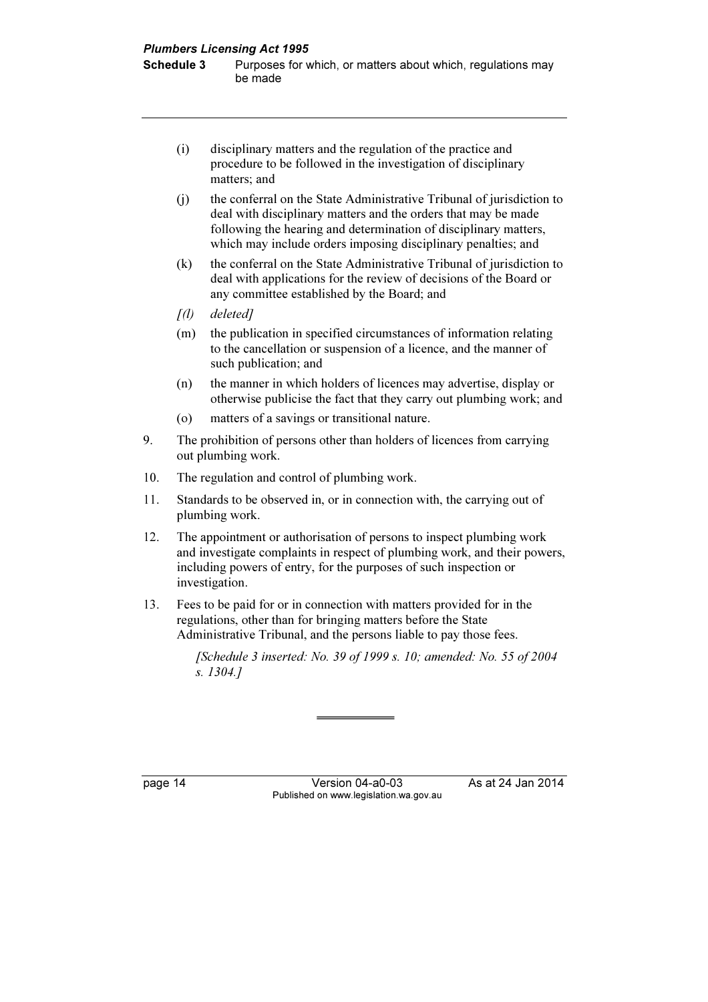Purposes for which, or matters about which, regulations may be made

- (i) disciplinary matters and the regulation of the practice and procedure to be followed in the investigation of disciplinary matters; and
- (j) the conferral on the State Administrative Tribunal of jurisdiction to deal with disciplinary matters and the orders that may be made following the hearing and determination of disciplinary matters, which may include orders imposing disciplinary penalties; and
- (k) the conferral on the State Administrative Tribunal of jurisdiction to deal with applications for the review of decisions of the Board or any committee established by the Board; and
- [(l) deleted]
- (m) the publication in specified circumstances of information relating to the cancellation or suspension of a licence, and the manner of such publication; and
- (n) the manner in which holders of licences may advertise, display or otherwise publicise the fact that they carry out plumbing work; and
- (o) matters of a savings or transitional nature.
- 9. The prohibition of persons other than holders of licences from carrying out plumbing work.
- 10. The regulation and control of plumbing work.
- 11. Standards to be observed in, or in connection with, the carrying out of plumbing work.
- 12. The appointment or authorisation of persons to inspect plumbing work and investigate complaints in respect of plumbing work, and their powers, including powers of entry, for the purposes of such inspection or investigation.
- 13. Fees to be paid for or in connection with matters provided for in the regulations, other than for bringing matters before the State Administrative Tribunal, and the persons liable to pay those fees.

[Schedule 3 inserted: No. 39 of 1999 s. 10; amended: No. 55 of 2004 s. 1304.]

page 14 **Version 04-a0-03** As at 24 Jan 2014 Published on www.legislation.wa.gov.au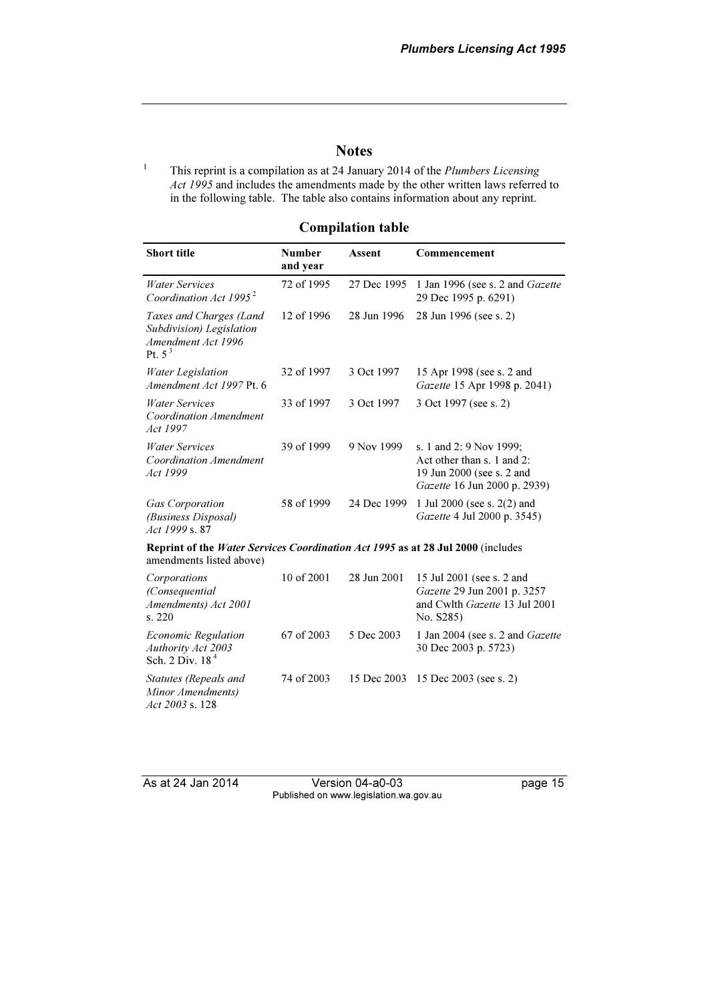#### **Notes**

 This reprint is a compilation as at 24 January 2014 of the Plumbers Licensing Act 1995 and includes the amendments made by the other written laws referred to in the following table. The table also contains information about any reprint.

#### Short title **Number** and year Assent Commencement Water Services Coordination Act 1995<sup>2</sup> 72 of 1995 27 Dec 1995 1 Jan 1996 (see s. 2 and Gazette 29 Dec 1995 p. 6291) Taxes and Charges (Land Subdivision) Legislation Amendment Act 1996 Pt.  $5<sup>3</sup>$ 12 of 1996 28 Jun 1996 28 Jun 1996 (see s. 2) Water Legislation Amendment Act 1997 Pt. 6 32 of 1997 3 Oct 1997 15 Apr 1998 (see s. 2 and Gazette 15 Apr 1998 p. 2041) Water Services Coordination Amendment Act 1997 33 of 1997 3 Oct 1997 3 Oct 1997 (see s. 2) Water Services Coordination Amendment Act 1999 39 of 1999 9 Nov 1999 s. 1 and 2: 9 Nov 1999; Act other than s. 1 and 2: 19 Jun 2000 (see s. 2 and Gazette 16 Jun 2000 p. 2939) Gas Corporation (Business Disposal) Act 1999 s. 87 58 of 1999 24 Dec 1999 1 Jul 2000 (see s. 2(2) and Gazette 4 Jul 2000 p. 3545) Reprint of the Water Services Coordination Act 1995 as at 28 Jul 2000 (includes amendments listed above) **Corporations** (Consequential Amendments) Act 2001 s. 220 10 of 2001 28 Jun 2001 15 Jul 2001 (see s. 2 and Gazette 29 Jun 2001 p. 3257 and Cwlth Gazette 13 Jul 2001 No. S285) Economic Regulation Authority Act 2003 Sch. 2 Div. 18<sup>4</sup> 67 of 2003 5 Dec 2003 1 Jan 2004 (see s. 2 and Gazette 30 Dec 2003 p. 5723)

#### Compilation table

Statutes (Repeals and Minor Amendments) Act 2003 s. 128

1

As at 24 Jan 2014 Version 04-a0-03 page 15 Published on www.legislation.wa.gov.au

74 of 2003 15 Dec 2003 15 Dec 2003 (see s. 2)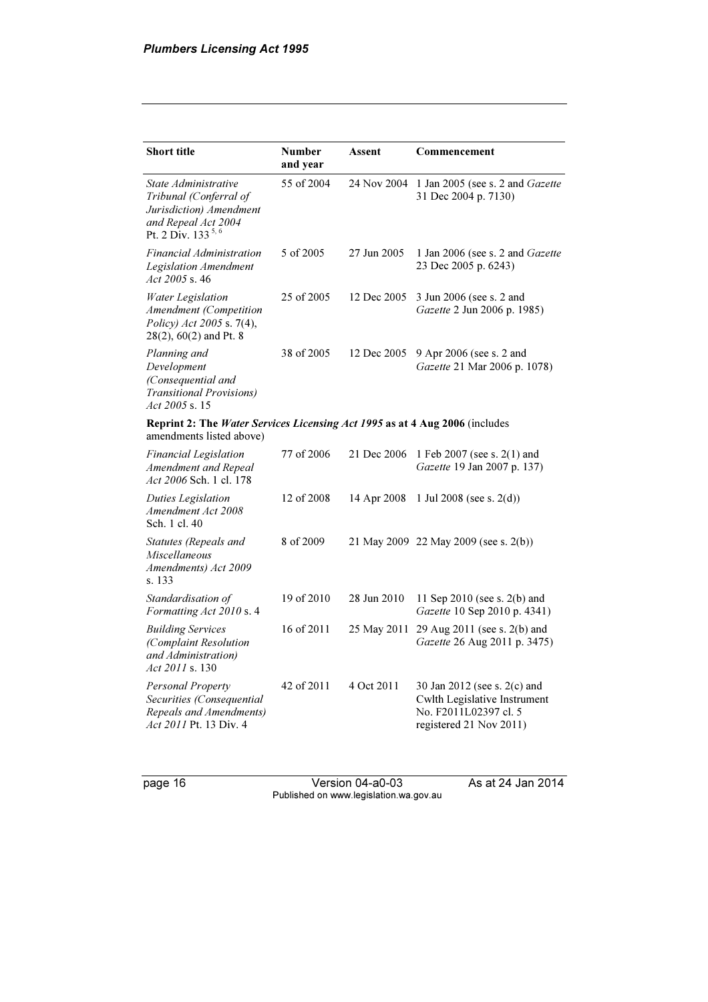| <b>Short title</b>                                                                                                                | <b>Number</b><br>and year | Assent      | Commencement                                                                                                            |
|-----------------------------------------------------------------------------------------------------------------------------------|---------------------------|-------------|-------------------------------------------------------------------------------------------------------------------------|
| State Administrative<br>Tribunal (Conferral of<br>Jurisdiction) Amendment<br>and Repeal Act 2004<br>Pt. 2 Div. 133 <sup>5,6</sup> | 55 of 2004                | 24 Nov 2004 | 1 Jan 2005 (see s. 2 and Gazette<br>31 Dec 2004 p. 7130)                                                                |
| Financial Administration<br>Legislation Amendment<br>Act 2005 s. 46                                                               | 5 of 2005                 | 27 Jun 2005 | 1 Jan 2006 (see s. 2 and Gazette<br>23 Dec 2005 p. 6243)                                                                |
| Water Legislation<br>Amendment (Competition<br>Policy) Act 2005 s. 7(4),<br>28(2), 60(2) and Pt. 8                                | 25 of 2005                | 12 Dec 2005 | 3 Jun 2006 (see s. 2 and<br>Gazette 2 Jun 2006 p. 1985)                                                                 |
| Planning and<br>Development<br>(Consequential and<br><b>Transitional Provisions)</b><br>$Act\,2005\,$ s. 15                       | 38 of 2005                | 12 Dec 2005 | 9 Apr 2006 (see s. 2 and<br>Gazette 21 Mar 2006 p. 1078)                                                                |
| Reprint 2: The Water Services Licensing Act 1995 as at 4 Aug 2006 (includes<br>amendments listed above)                           |                           |             |                                                                                                                         |
| Financial Legislation<br>Amendment and Repeal<br>Act 2006 Sch. 1 cl. 178                                                          | 77 of 2006                | 21 Dec 2006 | 1 Feb 2007 (see s. 2(1) and<br>Gazette 19 Jan 2007 p. 137)                                                              |
| Duties Legislation<br>Amendment Act 2008<br>Sch. 1 cl. 40                                                                         | 12 of 2008                | 14 Apr 2008 | 1 Jul 2008 (see s. $2(d)$ )                                                                                             |
| Statutes (Repeals and<br>Miscellaneous<br>Amendments) Act 2009<br>s. 133                                                          | 8 of 2009                 |             | 21 May 2009 22 May 2009 (see s. 2(b))                                                                                   |
| Standardisation of<br>Formatting Act 2010 s. 4                                                                                    | 19 of 2010                | 28 Jun 2010 | 11 Sep 2010 (see s. $2(b)$ and<br>Gazette 10 Sep 2010 p. 4341)                                                          |
| <b>Building Services</b><br>(Complaint Resolution<br>and Administration)<br><i>Act 2011</i> s. 130                                | 16 of 2011                | 25 May 2011 | 29 Aug 2011 (see s. 2(b) and<br>Gazette 26 Aug 2011 p. 3475)                                                            |
| Personal Property<br>Securities (Consequential<br>Repeals and Amendments)<br>Act 2011 Pt. 13 Div. 4                               | 42 of 2011                | 4 Oct 2011  | 30 Jan 2012 (see s. 2(c) and<br><b>Cwlth Legislative Instrument</b><br>No. F2011L02397 cl. 5<br>registered 21 Nov 2011) |

page 16 Version 04-a0-03 As at 24 Jan 2014 Published on www.legislation.wa.gov.au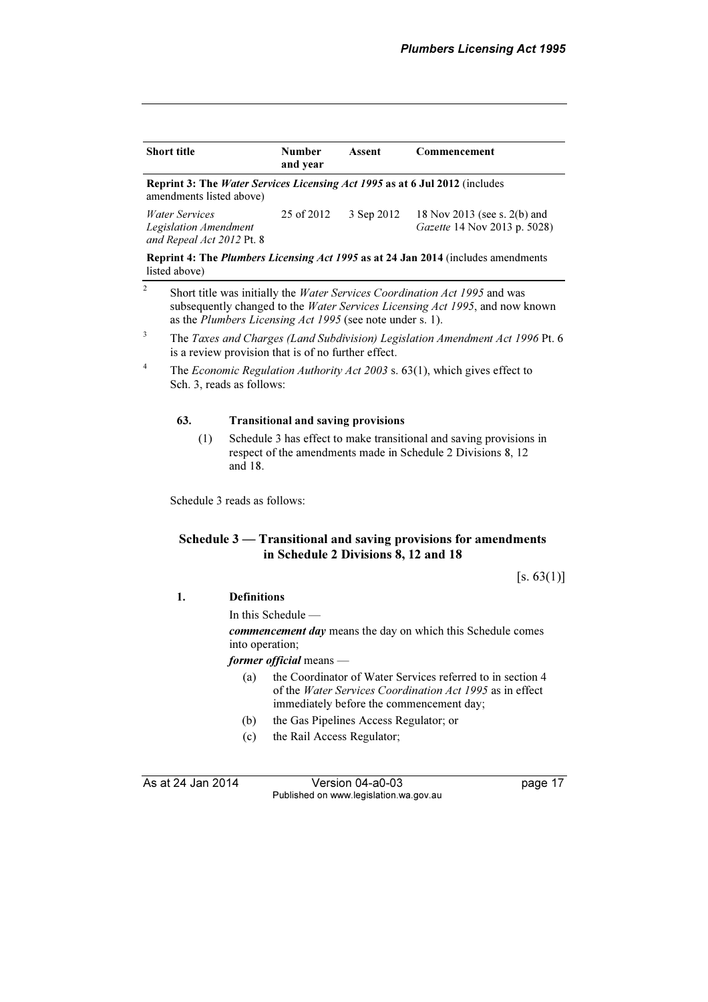| <b>Short title</b>                                                                                      | <b>Number</b><br>and year | Assent     | Commencement                                                                             |
|---------------------------------------------------------------------------------------------------------|---------------------------|------------|------------------------------------------------------------------------------------------|
| Reprint 3: The Water Services Licensing Act 1995 as at 6 Jul 2012 (includes<br>amendments listed above) |                           |            |                                                                                          |
| <i>Water Services</i><br>Legislation Amendment<br>and Repeal Act 2012 Pt. 8                             | 25 of 2012                | 3 Sep 2012 | 18 Nov 2013 (see s. 2(b) and<br><i>Gazette</i> 14 Nov 2013 p. 5028)                      |
|                                                                                                         |                           |            | <b>Reprint 4: The Plumbers Licensing Act 1995 as at 24 Jan 2014</b> (includes amendments |

listed above)

- <sup>2</sup> Short title was initially the *Water Services Coordination Act 1995* and was subsequently changed to the Water Services Licensing Act 1995, and now known as the Plumbers Licensing Act 1995 (see note under s. 1).
- 3 The Taxes and Charges (Land Subdivision) Legislation Amendment Act 1996 Pt. 6 is a review provision that is of no further effect.
- 4 The Economic Regulation Authority Act 2003 s. 63(1), which gives effect to Sch. 3, reads as follows:

#### 63. Transitional and saving provisions

 (1) Schedule 3 has effect to make transitional and saving provisions in respect of the amendments made in Schedule 2 Divisions 8, 12 and 18.

Schedule 3 reads as follows:

#### Schedule 3 — Transitional and saving provisions for amendments in Schedule 2 Divisions 8, 12 and 18

 $[s. 63(1)]$ 

1. Definitions

In this Schedule —

commencement day means the day on which this Schedule comes into operation;

former official means —

- (a) the Coordinator of Water Services referred to in section 4 of the Water Services Coordination Act 1995 as in effect immediately before the commencement day;
- (b) the Gas Pipelines Access Regulator; or
- (c) the Rail Access Regulator;

As at 24 Jan 2014 Version 04-a0-03 page 17 Published on www.legislation.wa.gov.au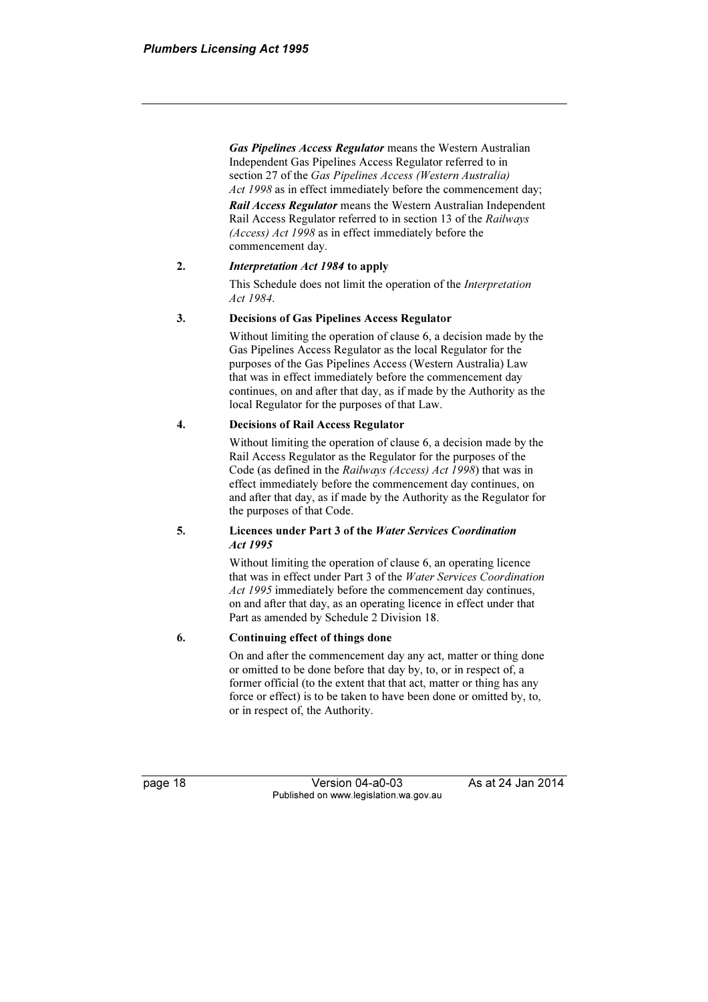Gas Pipelines Access Regulator means the Western Australian Independent Gas Pipelines Access Regulator referred to in section 27 of the Gas Pipelines Access (Western Australia) Act 1998 as in effect immediately before the commencement day;

**Rail Access Regulator** means the Western Australian Independent Rail Access Regulator referred to in section 13 of the Railways (Access) Act 1998 as in effect immediately before the commencement day.

#### 2. Interpretation Act 1984 to apply

 This Schedule does not limit the operation of the Interpretation Act 1984.

#### 3. Decisions of Gas Pipelines Access Regulator

 Without limiting the operation of clause 6, a decision made by the Gas Pipelines Access Regulator as the local Regulator for the purposes of the Gas Pipelines Access (Western Australia) Law that was in effect immediately before the commencement day continues, on and after that day, as if made by the Authority as the local Regulator for the purposes of that Law.

#### 4. Decisions of Rail Access Regulator

 Without limiting the operation of clause 6, a decision made by the Rail Access Regulator as the Regulator for the purposes of the Code (as defined in the Railways (Access) Act 1998) that was in effect immediately before the commencement day continues, on and after that day, as if made by the Authority as the Regulator for the purposes of that Code.

#### 5. Licences under Part 3 of the Water Services Coordination Act 1995

 Without limiting the operation of clause 6, an operating licence that was in effect under Part 3 of the Water Services Coordination Act 1995 immediately before the commencement day continues, on and after that day, as an operating licence in effect under that Part as amended by Schedule 2 Division 18.

#### 6. Continuing effect of things done

 On and after the commencement day any act, matter or thing done or omitted to be done before that day by, to, or in respect of, a former official (to the extent that that act, matter or thing has any force or effect) is to be taken to have been done or omitted by, to, or in respect of, the Authority.

page 18 **Version 04-a0-03** As at 24 Jan 2014 Published on www.legislation.wa.gov.au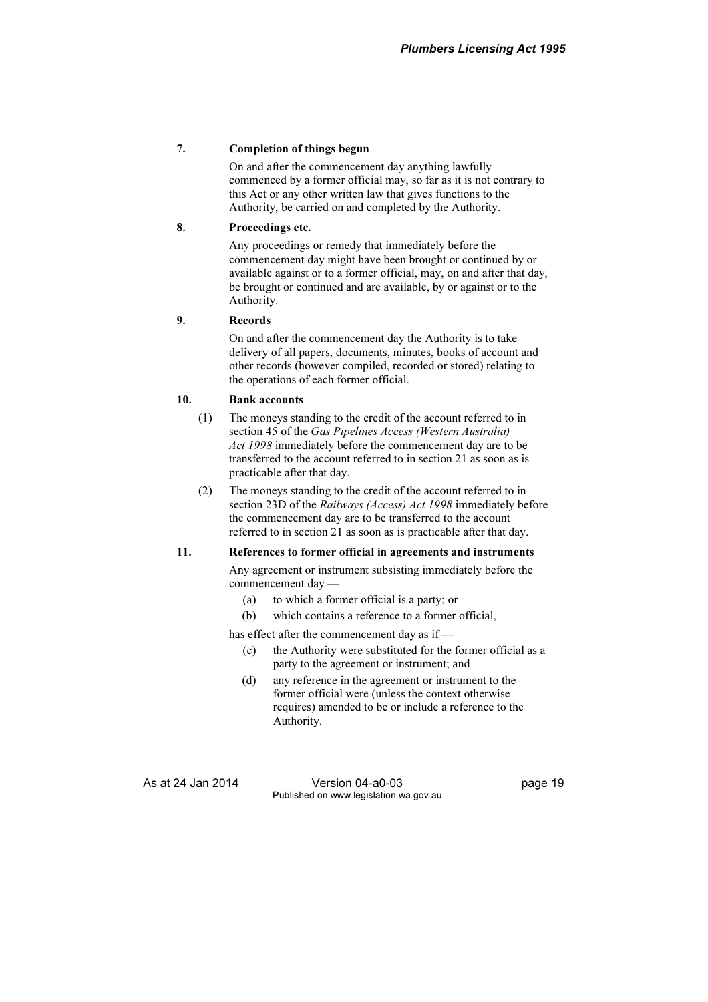#### 7. Completion of things begun

 On and after the commencement day anything lawfully commenced by a former official may, so far as it is not contrary to this Act or any other written law that gives functions to the Authority, be carried on and completed by the Authority.

#### 8. Proceedings etc.

 Any proceedings or remedy that immediately before the commencement day might have been brought or continued by or available against or to a former official, may, on and after that day, be brought or continued and are available, by or against or to the Authority.

#### 9. Records

 On and after the commencement day the Authority is to take delivery of all papers, documents, minutes, books of account and other records (however compiled, recorded or stored) relating to the operations of each former official.

#### 10. Bank accounts

- (1) The moneys standing to the credit of the account referred to in section 45 of the Gas Pipelines Access (Western Australia) Act 1998 immediately before the commencement day are to be transferred to the account referred to in section 21 as soon as is practicable after that day.
- (2) The moneys standing to the credit of the account referred to in section 23D of the Railways (Access) Act 1998 immediately before the commencement day are to be transferred to the account referred to in section 21 as soon as is practicable after that day.

#### 11. References to former official in agreements and instruments

 Any agreement or instrument subsisting immediately before the commencement day —

- (a) to which a former official is a party; or
- (b) which contains a reference to a former official,

has effect after the commencement day as if —

- (c) the Authority were substituted for the former official as a party to the agreement or instrument; and
- (d) any reference in the agreement or instrument to the former official were (unless the context otherwise requires) amended to be or include a reference to the Authority.

As at 24 Jan 2014 Version 04-a0-03 page 19 Published on www.legislation.wa.gov.au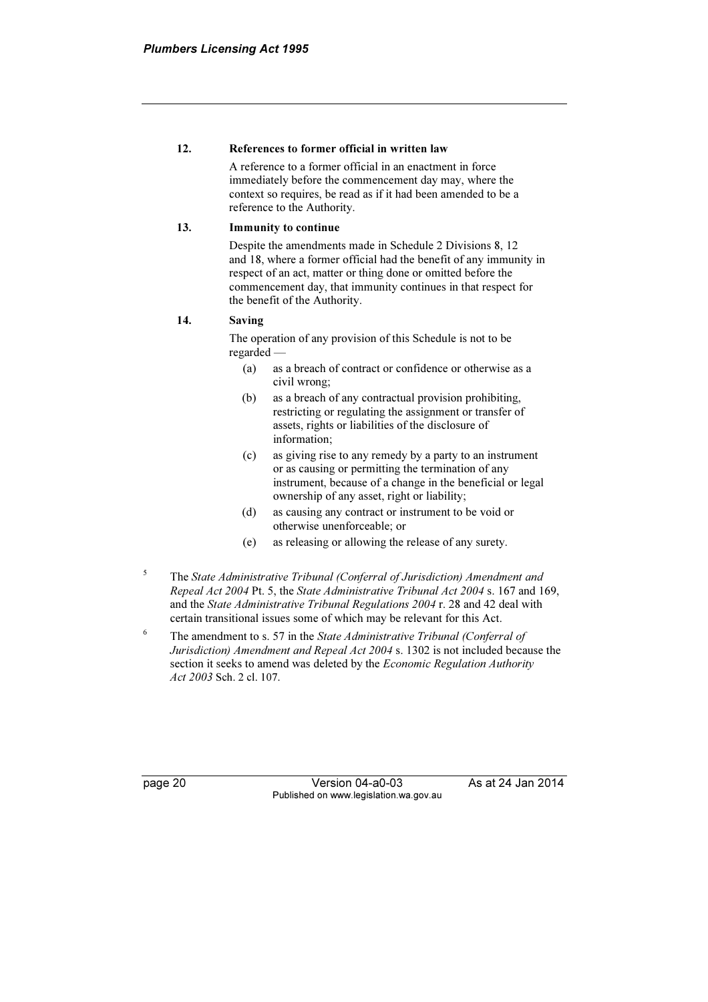#### 12. References to former official in written law

 A reference to a former official in an enactment in force immediately before the commencement day may, where the context so requires, be read as if it had been amended to be a reference to the Authority.

#### 13. Immunity to continue

 Despite the amendments made in Schedule 2 Divisions 8, 12 and 18, where a former official had the benefit of any immunity in respect of an act, matter or thing done or omitted before the commencement day, that immunity continues in that respect for the benefit of the Authority.

#### 14. Saving

 The operation of any provision of this Schedule is not to be regarded —

- (a) as a breach of contract or confidence or otherwise as a civil wrong;
- (b) as a breach of any contractual provision prohibiting, restricting or regulating the assignment or transfer of assets, rights or liabilities of the disclosure of information;
- (c) as giving rise to any remedy by a party to an instrument or as causing or permitting the termination of any instrument, because of a change in the beneficial or legal ownership of any asset, right or liability;
- (d) as causing any contract or instrument to be void or otherwise unenforceable; or
- (e) as releasing or allowing the release of any surety.
- 5 The State Administrative Tribunal (Conferral of Jurisdiction) Amendment and Repeal Act 2004 Pt. 5, the State Administrative Tribunal Act 2004 s. 167 and 169, and the State Administrative Tribunal Regulations 2004 r. 28 and 42 deal with certain transitional issues some of which may be relevant for this Act.
- 6 The amendment to s. 57 in the State Administrative Tribunal (Conferral of Jurisdiction) Amendment and Repeal Act 2004 s. 1302 is not included because the section it seeks to amend was deleted by the *Economic Regulation Authority* Act 2003 Sch. 2 cl. 107.

page 20 Version 04-a0-03 As at 24 Jan 2014 Published on www.legislation.wa.gov.au